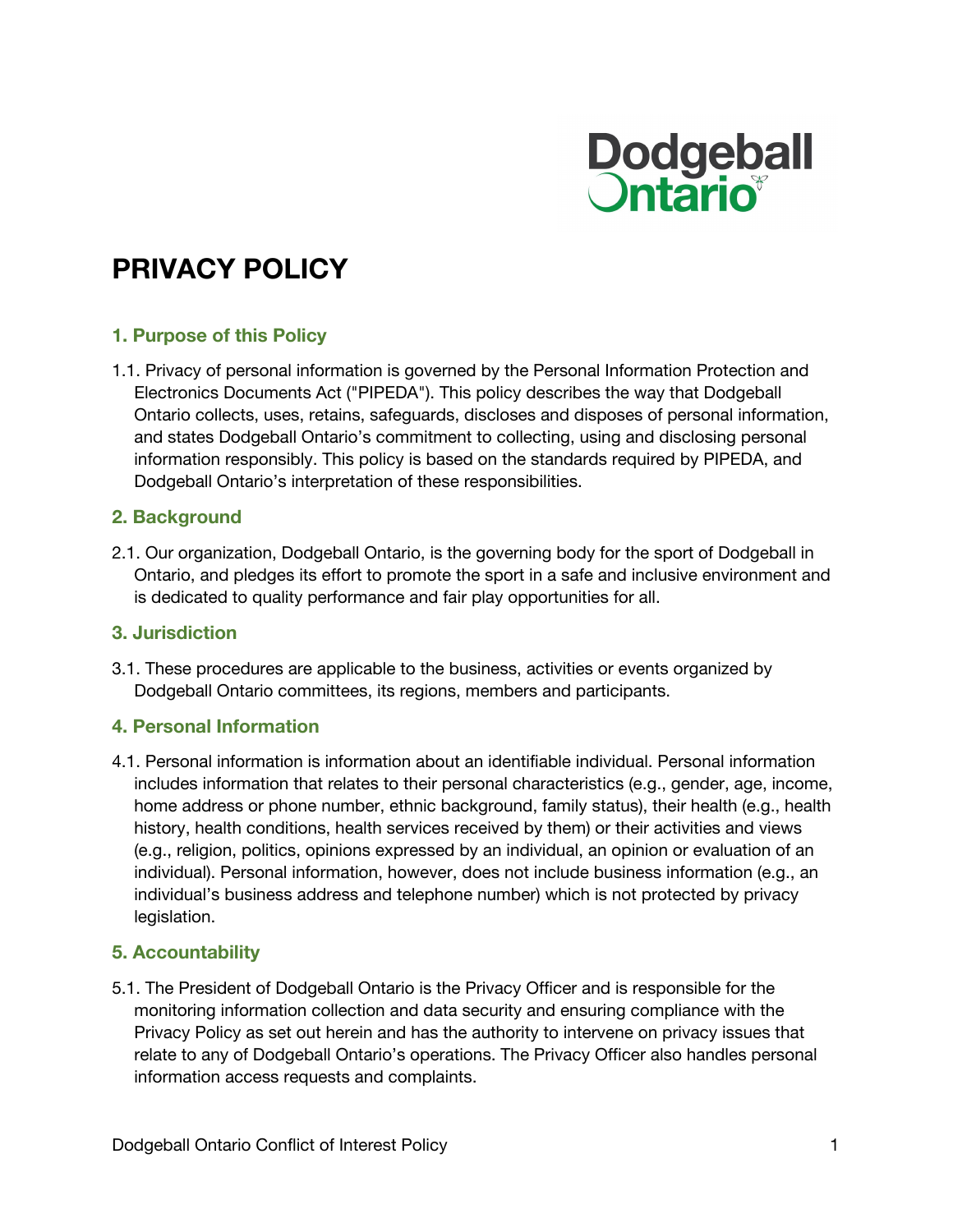

# **PRIVACY POLICY**

## **1. Purpose of this Policy**

1.1. Privacy of personal information is governed by the Personal Information Protection and Electronics Documents Act ("PIPEDA"). This policy describes the way that Dodgeball Ontario collects, uses, retains, safeguards, discloses and disposes of personal information, and states Dodgeball Ontario's commitment to collecting, using and disclosing personal information responsibly. This policy is based on the standards required by PIPEDA, and Dodgeball Ontario's interpretation of these responsibilities.

#### **2. Background**

2.1. Our organization, Dodgeball Ontario, is the governing body for the sport of Dodgeball in Ontario, and pledges its effort to promote the sport in a safe and inclusive environment and is dedicated to quality performance and fair play opportunities for all.

#### **3. Jurisdiction**

3.1. These procedures are applicable to the business, activities or events organized by Dodgeball Ontario committees, its regions, members and participants.

#### **4. Personal Information**

4.1. Personal information is information about an identifiable individual. Personal information includes information that relates to their personal characteristics (e.g., gender, age, income, home address or phone number, ethnic background, family status), their health (e.g., health history, health conditions, health services received by them) or their activities and views (e.g., religion, politics, opinions expressed by an individual, an opinion or evaluation of an individual). Personal information, however, does not include business information (e.g., an individual's business address and telephone number) which is not protected by privacy legislation.

## **5. Accountability**

5.1. The President of Dodgeball Ontario is the Privacy Officer and is responsible for the monitoring information collection and data security and ensuring compliance with the Privacy Policy as set out herein and has the authority to intervene on privacy issues that relate to any of Dodgeball Ontario's operations. The Privacy Officer also handles personal information access requests and complaints.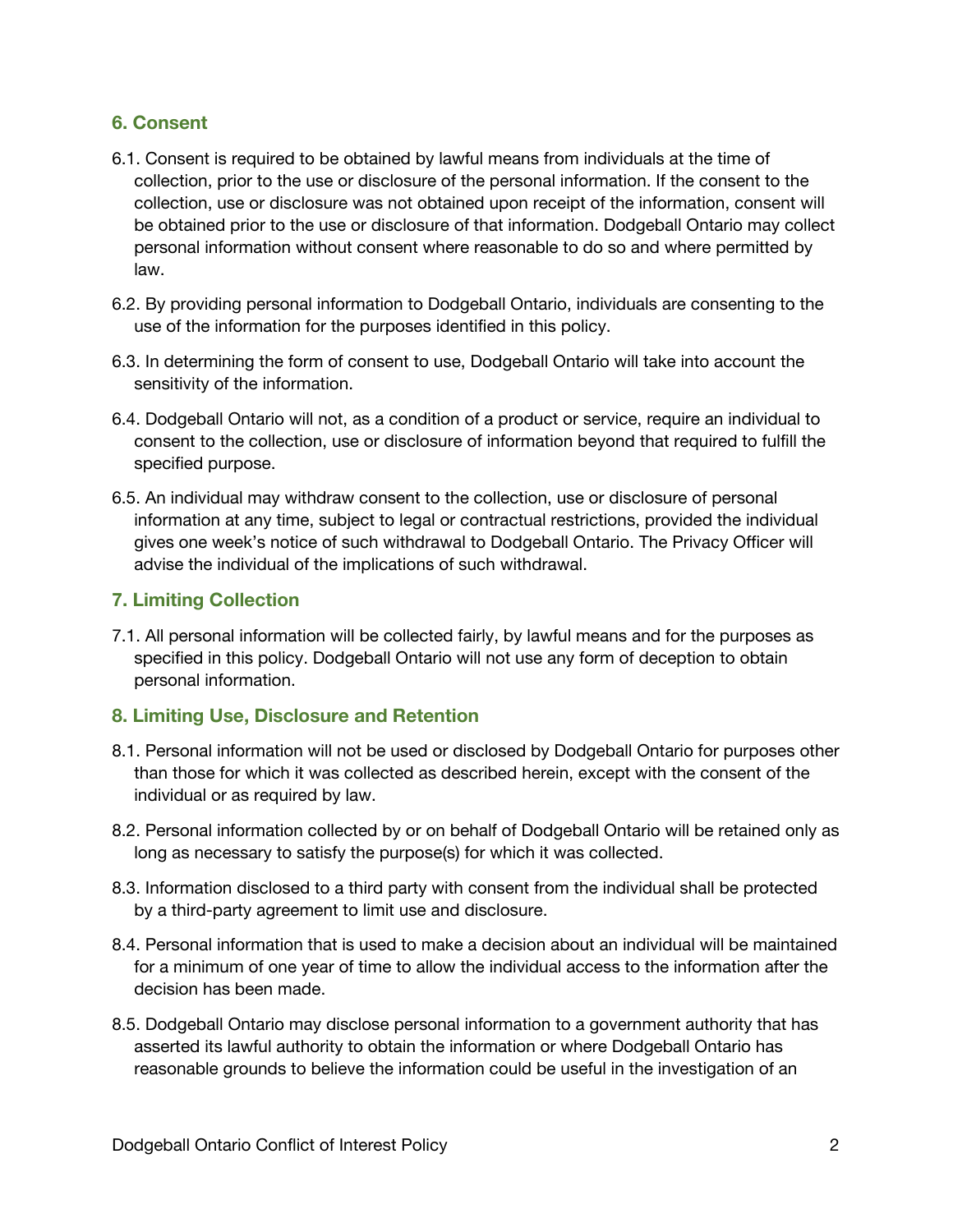# **6. Consent**

- 6.1. Consent is required to be obtained by lawful means from individuals at the time of collection, prior to the use or disclosure of the personal information. If the consent to the collection, use or disclosure was not obtained upon receipt of the information, consent will be obtained prior to the use or disclosure of that information. Dodgeball Ontario may collect personal information without consent where reasonable to do so and where permitted by law.
- 6.2. By providing personal information to Dodgeball Ontario, individuals are consenting to the use of the information for the purposes identified in this policy.
- 6.3. In determining the form of consent to use, Dodgeball Ontario will take into account the sensitivity of the information.
- 6.4. Dodgeball Ontario will not, as a condition of a product or service, require an individual to consent to the collection, use or disclosure of information beyond that required to fulfill the specified purpose.
- 6.5. An individual may withdraw consent to the collection, use or disclosure of personal information at any time, subject to legal or contractual restrictions, provided the individual gives one week's notice of such withdrawal to Dodgeball Ontario. The Privacy Officer will advise the individual of the implications of such withdrawal.

# **7. Limiting Collection**

7.1. All personal information will be collected fairly, by lawful means and for the purposes as specified in this policy. Dodgeball Ontario will not use any form of deception to obtain personal information.

## **8. Limiting Use, Disclosure and Retention**

- 8.1. Personal information will not be used or disclosed by Dodgeball Ontario for purposes other than those for which it was collected as described herein, except with the consent of the individual or as required by law.
- 8.2. Personal information collected by or on behalf of Dodgeball Ontario will be retained only as long as necessary to satisfy the purpose(s) for which it was collected.
- 8.3. Information disclosed to a third party with consent from the individual shall be protected by a third-party agreement to limit use and disclosure.
- 8.4. Personal information that is used to make a decision about an individual will be maintained for a minimum of one year of time to allow the individual access to the information after the decision has been made.
- 8.5. Dodgeball Ontario may disclose personal information to a government authority that has asserted its lawful authority to obtain the information or where Dodgeball Ontario has reasonable grounds to believe the information could be useful in the investigation of an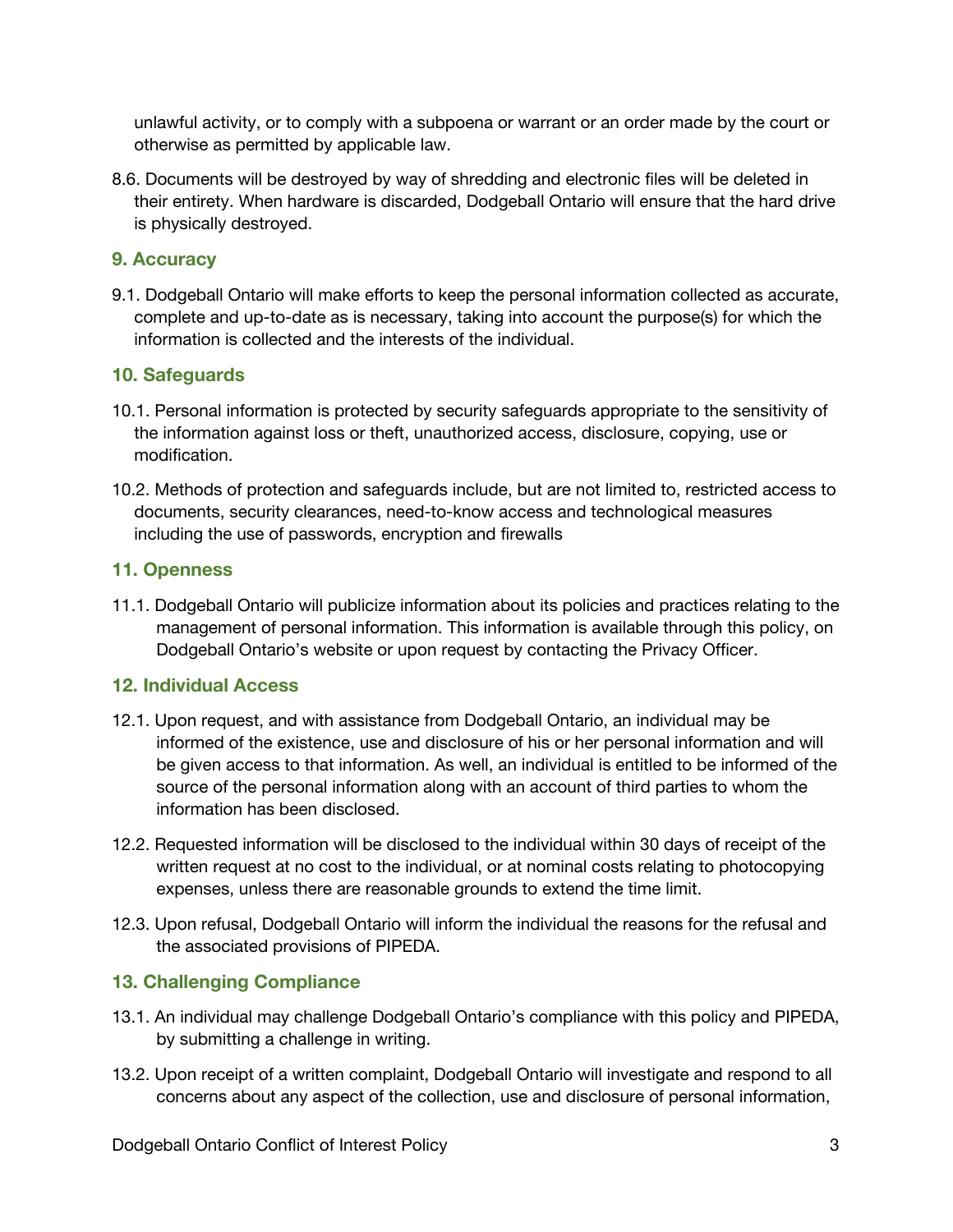unlawful activity, or to comply with a subpoena or warrant or an order made by the court or otherwise as permitted by applicable law.

8.6. Documents will be destroyed by way of shredding and electronic files will be deleted in their entirety. When hardware is discarded, Dodgeball Ontario will ensure that the hard drive is physically destroyed.

#### **9. Accuracy**

9.1. Dodgeball Ontario will make efforts to keep the personal information collected as accurate, complete and up-to-date as is necessary, taking into account the purpose(s) for which the information is collected and the interests of the individual.

#### **10. Safeguards**

- 10.1. Personal information is protected by security safeguards appropriate to the sensitivity of the information against loss or theft, unauthorized access, disclosure, copying, use or modification.
- 10.2. Methods of protection and safeguards include, but are not limited to, restricted access to documents, security clearances, need-to-know access and technological measures including the use of passwords, encryption and firewalls

#### **11. Openness**

11.1. Dodgeball Ontario will publicize information about its policies and practices relating to the management of personal information. This information is available through this policy, on Dodgeball Ontario's website or upon request by contacting the Privacy Officer.

## **12. Individual Access**

- 12.1. Upon request, and with assistance from Dodgeball Ontario, an individual may be informed of the existence, use and disclosure of his or her personal information and will be given access to that information. As well, an individual is entitled to be informed of the source of the personal information along with an account of third parties to whom the information has been disclosed.
- 12.2. Requested information will be disclosed to the individual within 30 days of receipt of the written request at no cost to the individual, or at nominal costs relating to photocopying expenses, unless there are reasonable grounds to extend the time limit.
- 12.3. Upon refusal, Dodgeball Ontario will inform the individual the reasons for the refusal and the associated provisions of PIPEDA.

## **13. Challenging Compliance**

- 13.1. An individual may challenge Dodgeball Ontario's compliance with this policy and PIPEDA, by submitting a challenge in writing.
- 13.2. Upon receipt of a written complaint, Dodgeball Ontario will investigate and respond to all concerns about any aspect of the collection, use and disclosure of personal information,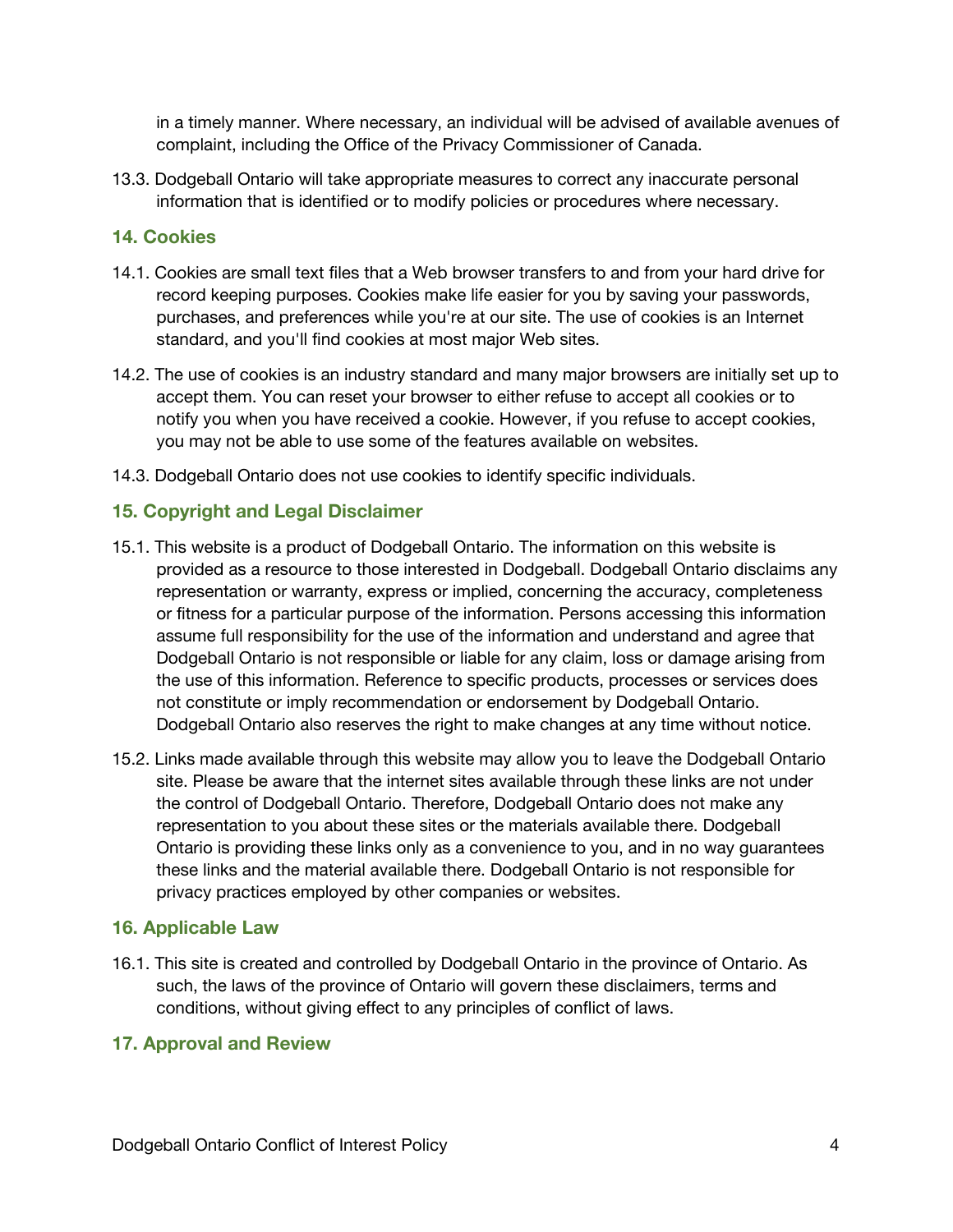in a timely manner. Where necessary, an individual will be advised of available avenues of complaint, including the Office of the Privacy Commissioner of Canada.

13.3. Dodgeball Ontario will take appropriate measures to correct any inaccurate personal information that is identified or to modify policies or procedures where necessary.

#### **14. Cookies**

- 14.1. Cookies are small text files that a Web browser transfers to and from your hard drive for record keeping purposes. Cookies make life easier for you by saving your passwords, purchases, and preferences while you're at our site. The use of cookies is an Internet standard, and you'll find cookies at most major Web sites.
- 14.2. The use of cookies is an industry standard and many major browsers are initially set up to accept them. You can reset your browser to either refuse to accept all cookies or to notify you when you have received a cookie. However, if you refuse to accept cookies, you may not be able to use some of the features available on websites.
- 14.3. Dodgeball Ontario does not use cookies to identify specific individuals.

## **15. Copyright and Legal Disclaimer**

- 15.1. This website is a product of Dodgeball Ontario. The information on this website is provided as a resource to those interested in Dodgeball. Dodgeball Ontario disclaims any representation or warranty, express or implied, concerning the accuracy, completeness or fitness for a particular purpose of the information. Persons accessing this information assume full responsibility for the use of the information and understand and agree that Dodgeball Ontario is not responsible or liable for any claim, loss or damage arising from the use of this information. Reference to specific products, processes or services does not constitute or imply recommendation or endorsement by Dodgeball Ontario. Dodgeball Ontario also reserves the right to make changes at any time without notice.
- 15.2. Links made available through this website may allow you to leave the Dodgeball Ontario site. Please be aware that the internet sites available through these links are not under the control of Dodgeball Ontario. Therefore, Dodgeball Ontario does not make any representation to you about these sites or the materials available there. Dodgeball Ontario is providing these links only as a convenience to you, and in no way guarantees these links and the material available there. Dodgeball Ontario is not responsible for privacy practices employed by other companies or websites.

## **16. Applicable Law**

16.1. This site is created and controlled by Dodgeball Ontario in the province of Ontario. As such, the laws of the province of Ontario will govern these disclaimers, terms and conditions, without giving effect to any principles of conflict of laws.

#### **17. Approval and Review**